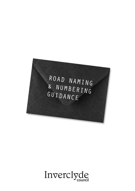

Inverclyde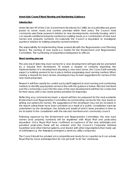### **Inverclyde Council Road Naming and Numbering Guidance**

### **Introduction**

Under Section 97 of the Civic Government (Scotland) Act 1982, local authorities are given power to name roads and number premises within their areas. The Council most commonly uses these powers in relation to new developments, normally housing, which can require additional property numbers on existing roads, or a combination of new road names and property numbers. Occasionally the Council is requested to investigate queries in relation to existing property names/numbers.

The responsibility for implementing these powers sits with the Regeneration and Planning Service. The naming of new roads is a matter for the Environment and Regeneration Committee. The numbering of properties is delegated to officers.

#### **Road naming process**

The process of selecting road names for a new development will typically be prompted by a request from developers. To ensure a degree of certainty regarding the implementation of a development requiring a new road name, the Council will normally expect a building warrant to be in place before progressing road naming matters. When making a request for road names, developers may include suggestions for names of the new roads proposed.

Research will then usually be carried out by staff assigned to road naming and numbering matters, to identify appropriate names in line with the guidance below. Elected members and the community council for the area of the new development will then be contacted for their views, with a two week period provided for responses.

Reflecting any comments received, a report will then be prepared for the next available Environment and Regeneration Committee recommending names for the new roads or setting out options for names. The suggestions of the developer may not be included in the report unless these have been provided as a result of a public consultation exercise undertaken by the developer, the details and results of which were provided in time to be included in the consultation with the elected members and community council.

Following approval by the Environment and Regeneration Committee, the new road names (and property numbers) will be registered with Royal Mail and postcodes requested. Once Royal Mail have confirmed acceptance of the new addresses and provided postcodes these will be entered onto the Council's Corporate Address Gazetteer and other internal systems, and shared with other organisations that make use of addresses e.g. the Assessors, emergency services, utility companies.

The Council should be advised once properties are ready for occupation so it can advise Royal Mail to move addresses from its 'not yet built' to its 'live' database.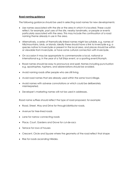## Road naming guidance

The following guidance should be used in selecting road names for new developments:

- Use names associated with the site or the area in which it is located. These could reflect, for example, past uses of the site, nearby landmarks, or people or events particularly associated with the area. This may include the continuation of a road naming theme already in use in the area.
- Alternatively, a series of thematically linked names might be suitable, e.g. names of hills/mountains, birds, or islands. Ideally these should have a link to Inverclyde e.g. a species native to Inverclyde or present in the local area, and places should be within or viewable from Inverclyde, or have some cultural connection with Inverclyde.
- On occasion it may be appropriate to commemorate a local, national or international e.g. in the year of a Tall Ships event, or a sporting event/triumph.
- Road names should be easy to pronounce and spell. Names including punctuation e.g. apostrophes, hyphens, and abbreviations should be avoided.
- Avoid naming roads after people who are still living.
- Avoid road names that are already used within the same town/village.
- Avoid names with adverse connotations or which could be deliberately misinterpreted.
- Developer's marketing names will not be used in addresses.

Road name suffixes should reflect the type of road proposed, for example:

- Road, Street, Way and Drive for through/distributor roads.
- Avenue for tree-lined roads
- Lane for narrow connecting roads
- Place, Court, Gardens and Grove for cul-de-sacs
- Terrace for rows of houses
- Crescent, Circle and Square where the geometry of the road reflect that shape
- Rise for roads ascending hillsides.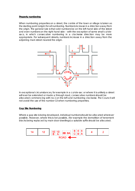## **Property numbering**

When numbering properties on a street, the centre of the town or village is taken as the starting point (origin) for all numbering. Numbers increase in a direction away from the origin. The general rule is that odd numbers be on the left hand side of the street and even numbers on the right hand side – with the exception of some small cul-desacs, in which consecutive numbering in a clockwise direction may be more appropriate. For subsequent streets, numbers increase in a direction away from the adjoining main street nearest the origin.



In exceptional circumstances, for example in a cul-de-sac or where it is unlikely a street will ever be extended or made a through road, consecutive numbers should be allocated commencing with no.1 on the left and numbering clockwise. The Council will not avoid the use of the number 13 when numbering properties.

### **Gap Site Numbering**

Where a gap site is being developed, individual numbers should be allocated wherever possible. However, where this is not possible, (for example the demolition of tenement blocks being replaced by main door dwellings) a suitable suffix should be allocated.

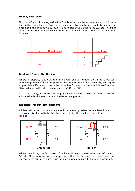## **Property Floor Levels**

Floor Level 0 should be assigned to the Floor Level having the lowest access point from/to the building. Any floors below 0 and only accessible via floor 0 should be classed as basements and designated B1, B2, etc. and floors above 0 designated 1, 2, etc. Note that in some cases Floor Level 0 will not be the level from which the building's postal address is derived.



## **Residential Property Sub-Division**

Where a property is sub-divided a relevant unique number should be allocated wherever possible. If this is not possible, the numbers should be derived by adding an appropriate suffix to each one of the properties. For example the sub-division of number 10 would result in the allocation of numbers 10A and 10B.

In the same way, if a basement property is formed then a relevant suffix should be allocated to both the ground and the basement property.

### **Residential Property – Flat Numbering**

All flats with a common entrance should, wherever possible, be numbered in a clockwise direction with the first flat number being the first from the left on each landing.



Where there is only one flat on each floor it should be numbered as first from left. i.e. 0/1, 1/1 etc. There may be some exceptions to this rule, for example where there are mezzanine levels. House numbers in these cases may be used but only as a last resort.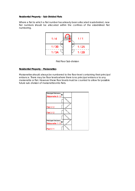## **Residential Property – Sub-Divided Flats**

Where a flat to which a flat number has already been allocated is subdivided, new flat numbers should be allocated within the confines of the established flat numbering.





### **Residential Property – Maisonettes**

Maisonettes should always be numbered to the floor level containing their principal entrance. There may be floor levels where there is no principal entrance to any maisonette or flat. However these floor levels must be counted to allow for possible future sub–division of maisonettes into flats.

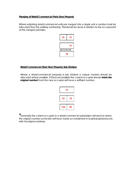## **Merging of Retail/Commercial Main Door Property**

Where adjoining retail/commercial units are merged into a single unit a number must be allocated from the existing numbering. This should be done in relation to the access point of the merged premises.



### **Retail/Commercial Main Door Property Sub-Division**

Where a retail/commercial property is sub divided a unique number should be allocated where possible. If this is not possible the current occupier should **retain the**  original number<sup>#</sup> and the new occupier will have a suffixed number.

|     | 18 |    |  |
|-----|----|----|--|
| 20  |    | 18 |  |
| 18A |    | 18 |  |

*# Generally the current occupier in a retail/commercial subdivision will want to retain the original number as he/she will have made an investment in business stationery etc. with his original address.*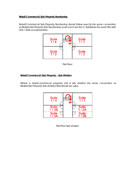# **Retail/Commercial Sub-Property Numbering**

Retail/Commercial Sub-Property Numbering should follow exactly the same convention as Residential Property Flat Numbering as set out in section 5. Substitute the word Flat with Unit / Suite as appropriate.



First Floor

# **Retail/Commercial Sub-Property – Sub-Division**

Where a retail/commercial property unit is sub divided the same convention as Residential Property Sub-divided flats should be used.



First Floor Sub-division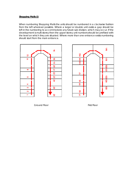## **Shopping Malls (i)**

When numbering Shopping Malls the units should be numbered in a clockwise fashion from the left wherever possible. Where a larger or double unit exists a gap should be left in the numbering to accommodate any future sub division, which may occur. If the development is multi storey then the upper storey unit numbers should be prefixed with the level on which they are situated. Where more than one entrance exists numbering should start from the main entrance.





Ground Floor **First Floor**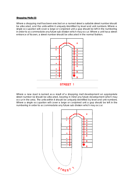### **Shopping Malls (ii)**

Where a shopping mall has been erected on a named street a suitable street number should be allocated, and the units within it uniquely identified by level and unit numbers. Where a single occupation will cover a large or conjoined unit a gap should be left in the numbering in order to accommodate any future sub division which may occur. Where a unit has a street entrance of its own, a street number should be allocated in the normal fashion.



Where a new road is named as a result of a shopping mall development an appropriate street number (s) should be allocated, bearing in mind any future development which may occur in the area. The units within it should be uniquely identified by level and unit numbers. Where a single occupation will cover a large or conjoined unit a gap should be left in the numbering in order to accommodate any future sub division which may occur.

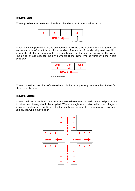#### **Industrial Units**

Where possible a separate number should be allocated to each individual unit.



Where this is not possible a unique unit number should be allocated to each unit. See below as an example of how this could be handled. The layout of the development would of course dictate the sequence of the unit numbering, but the principle should be the same. The officer should allocate the unit numbers at the same time as numbering the whole property.



Where more than one block of units exists within the same property number a block identifier should be allocated.

### **Industrial Estates**

Where the internal roads within an industrial estate have been named, the normal procedure for street numbering should be applied. Where a single occupation will cover a large or conjoined unit, a gap should be left in the numbering in order to accommodate any future sub division which may occur.